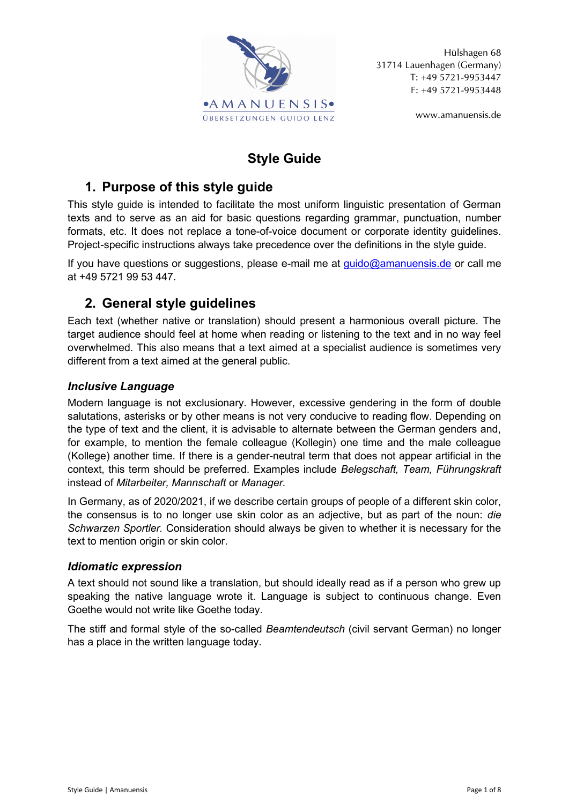

Hülshagen 68 31714 Lauenhagen (Germany) T: +49 5721-9953447 F: +49 5721-9953448

www.amanuensis.de

# **Style Guide**

# **1. Purpose of this style guide**

This style guide is intended to facilitate the most uniform linguistic presentation of German texts and to serve as an aid for basic questions regarding grammar, punctuation, number formats, etc. It does not replace a tone-of-voice document or corporate identity guidelines. Project-specific instructions always take precedence over the definitions in the style guide.

If you have questions or suggestions, please e-mail me at  $quido@amanuensis.de$  or call me at +49 5721 99 53 447.

# **2. General style guidelines**

Each text (whether native or translation) should present a harmonious overall picture. The target audience should feel at home when reading or listening to the text and in no way feel overwhelmed. This also means that a text aimed at a specialist audience is sometimes very different from a text aimed at the general public.

# *Inclusive Language*

Modern language is not exclusionary. However, excessive gendering in the form of double salutations, asterisks or by other means is not very conducive to reading flow. Depending on the type of text and the client, it is advisable to alternate between the German genders and, for example, to mention the female colleague (Kollegin) one time and the male colleague (Kollege) another time. If there is a gender-neutral term that does not appear artificial in the context, this term should be preferred. Examples include *Belegschaft, Team, Führungskraft* instead of *Mitarbeiter, Mannschaft* or *Manager.*

In Germany, as of 2020/2021, if we describe certain groups of people of a different skin color, the consensus is to no longer use skin color as an adjective, but as part of the noun: *die Schwarzen Sportler.* Consideration should always be given to whether it is necessary for the text to mention origin or skin color.

# *Idiomatic expression*

A text should not sound like a translation, but should ideally read as if a person who grew up speaking the native language wrote it. Language is subject to continuous change. Even Goethe would not write like Goethe today.

The stiff and formal style of the so-called *Beamtendeutsch* (civil servant German) no longer has a place in the written language today.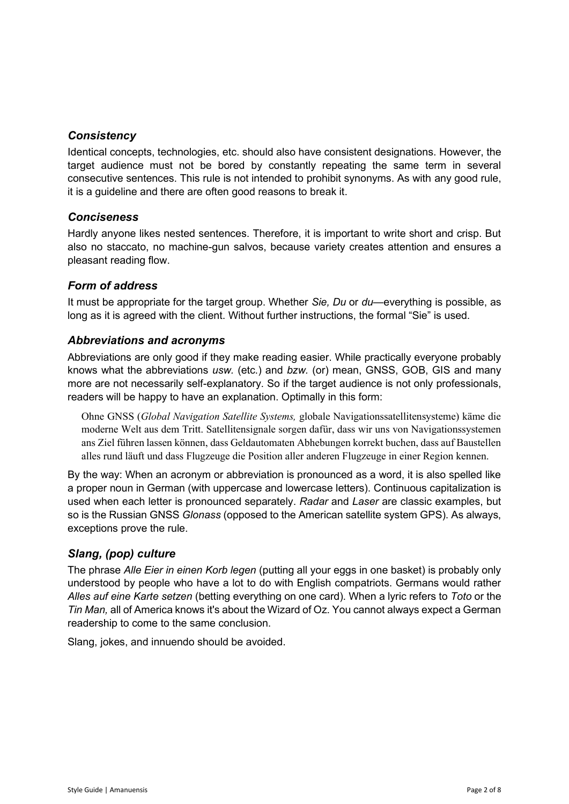#### *Consistency*

Identical concepts, technologies, etc. should also have consistent designations. However, the target audience must not be bored by constantly repeating the same term in several consecutive sentences. This rule is not intended to prohibit synonyms. As with any good rule, it is a guideline and there are often good reasons to break it.

#### *Conciseness*

Hardly anyone likes nested sentences. Therefore, it is important to write short and crisp. But also no staccato, no machine-gun salvos, because variety creates attention and ensures a pleasant reading flow.

#### *Form of address*

It must be appropriate for the target group. Whether *Sie, Du* or *du*—everything is possible, as long as it is agreed with the client. Without further instructions, the formal "Sie" is used.

#### *Abbreviations and acronyms*

Abbreviations are only good if they make reading easier. While practically everyone probably knows what the abbreviations *usw.* (etc.) and *bzw.* (or) mean, GNSS, GOB, GIS and many more are not necessarily self-explanatory. So if the target audience is not only professionals, readers will be happy to have an explanation. Optimally in this form:

Ohne GNSS (*Global Navigation Satellite Systems,* globale Navigationssatellitensysteme) käme die moderne Welt aus dem Tritt. Satellitensignale sorgen dafür, dass wir uns von Navigationssystemen ans Ziel führen lassen können, dass Geldautomaten Abhebungen korrekt buchen, dass auf Baustellen alles rund läuft und dass Flugzeuge die Position aller anderen Flugzeuge in einer Region kennen.

By the way: When an acronym or abbreviation is pronounced as a word, it is also spelled like a proper noun in German (with uppercase and lowercase letters). Continuous capitalization is used when each letter is pronounced separately. *Radar* and *Laser* are classic examples, but so is the Russian GNSS *Glonass* (opposed to the American satellite system GPS). As always, exceptions prove the rule.

### *Slang, (pop) culture*

The phrase *Alle Eier in einen Korb legen* (putting all your eggs in one basket) is probably only understood by people who have a lot to do with English compatriots. Germans would rather *Alles auf eine Karte setzen* (betting everything on one card). When a lyric refers to *Toto* or the *Tin Man,* all of America knows it's about the Wizard of Oz. You cannot always expect a German readership to come to the same conclusion.

Slang, jokes, and innuendo should be avoided.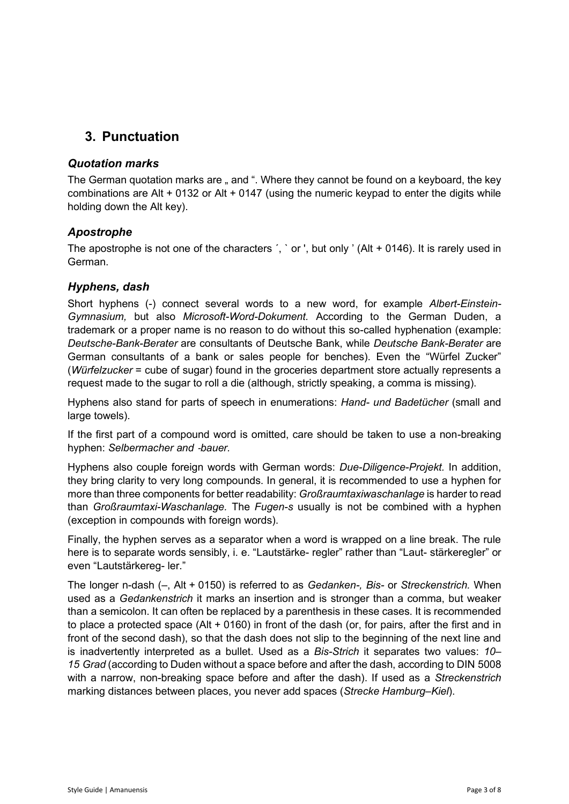# **3. Punctuation**

### *Quotation marks*

The German quotation marks are " and ". Where they cannot be found on a keyboard, the key combinations are Alt + 0132 or Alt + 0147 (using the numeric keypad to enter the digits while holding down the Alt key).

### *Apostrophe*

The apostrophe is not one of the characters  $\therefore$  or  $\therefore$  but only  $\vee$  (Alt + 0146). It is rarely used in German.

### *Hyphens, dash*

Short hyphens (-) connect several words to a new word, for example *Albert-Einstein-Gymnasium,* but also *Microsoft-Word-Dokument.* According to the German Duden, a trademark or a proper name is no reason to do without this so-called hyphenation (example: *Deutsche-Bank-Berater* are consultants of Deutsche Bank, while *Deutsche Bank-Berater* are German consultants of a bank or sales people for benches). Even the "Würfel Zucker" (*Würfelzucker* = cube of sugar) found in the groceries department store actually represents a request made to the sugar to roll a die (although, strictly speaking, a comma is missing).

Hyphens also stand for parts of speech in enumerations: *Hand- und Badetücher* (small and large towels).

If the first part of a compound word is omitted, care should be taken to use a non-breaking hyphen: *Selbermacher and* ‑*bauer.*

Hyphens also couple foreign words with German words: *Due-Diligence-Projekt.* In addition, they bring clarity to very long compounds. In general, it is recommended to use a hyphen for more than three components for better readability: *Großraumtaxiwaschanlage* is harder to read than *Großraumtaxi-Waschanlage.* The *Fugen-s* usually is not be combined with a hyphen (exception in compounds with foreign words).

Finally, the hyphen serves as a separator when a word is wrapped on a line break. The rule here is to separate words sensibly, i. e. "Lautstärke- regler" rather than "Laut- stärkeregler" or even "Lautstärkereg- ler."

The longer n-dash (–, Alt + 0150) is referred to as *Gedanken-, Bis-* or *Streckenstrich.* When used as a *Gedankenstrich* it marks an insertion and is stronger than a comma, but weaker than a semicolon. It can often be replaced by a parenthesis in these cases. It is recommended to place a protected space (Alt + 0160) in front of the dash (or, for pairs, after the first and in front of the second dash), so that the dash does not slip to the beginning of the next line and is inadvertently interpreted as a bullet. Used as a *Bis-Strich* it separates two values: *10– 15 Grad* (according to Duden without a space before and after the dash, according to DIN 5008 with a narrow, non-breaking space before and after the dash). If used as a *Streckenstrich* marking distances between places, you never add spaces (*Strecke Hamburg–Kiel*).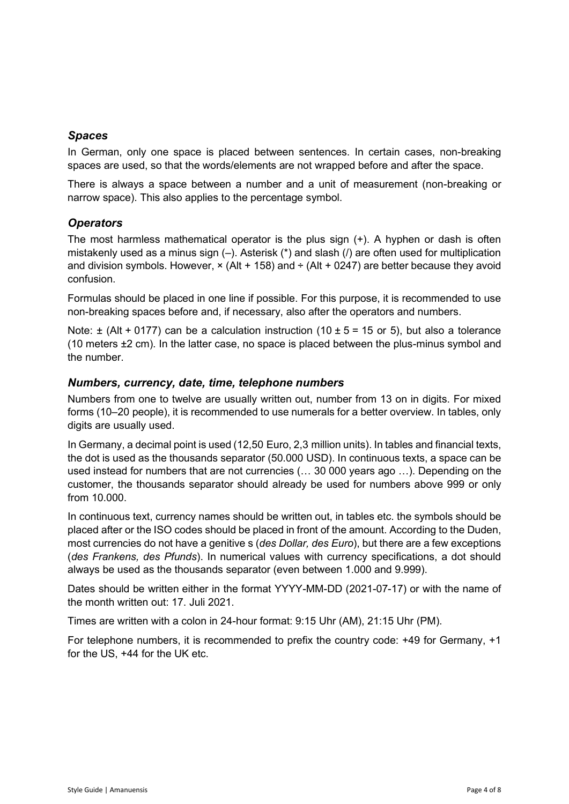#### *Spaces*

In German, only one space is placed between sentences. In certain cases, non-breaking spaces are used, so that the words/elements are not wrapped before and after the space.

There is always a space between a number and a unit of measurement (non-breaking or narrow space). This also applies to the percentage symbol.

#### *Operators*

The most harmless mathematical operator is the plus sign (+). A hyphen or dash is often mistakenly used as a minus sign  $(-)$ . Asterisk  $(*)$  and slash  $($ ) are often used for multiplication and division symbols. However,  $\times$  (Alt + 158) and  $\div$  (Alt + 0247) are better because they avoid confusion.

Formulas should be placed in one line if possible. For this purpose, it is recommended to use non-breaking spaces before and, if necessary, also after the operators and numbers.

Note:  $\pm$  (Alt + 0177) can be a calculation instruction (10  $\pm$  5 = 15 or 5), but also a tolerance (10 meters ±2 cm). In the latter case, no space is placed between the plus-minus symbol and the number.

#### *Numbers, currency, date, time, telephone numbers*

Numbers from one to twelve are usually written out, number from 13 on in digits. For mixed forms (10–20 people), it is recommended to use numerals for a better overview. In tables, only digits are usually used.

In Germany, a decimal point is used (12,50 Euro, 2,3 million units). In tables and financial texts, the dot is used as the thousands separator (50.000 USD). In continuous texts, a space can be used instead for numbers that are not currencies (… 30 000 years ago …). Depending on the customer, the thousands separator should already be used for numbers above 999 or only from 10.000.

In continuous text, currency names should be written out, in tables etc. the symbols should be placed after or the ISO codes should be placed in front of the amount. According to the Duden, most currencies do not have a genitive s (*des Dollar, des Euro*), but there are a few exceptions (*des Frankens, des Pfunds*). In numerical values with currency specifications, a dot should always be used as the thousands separator (even between 1.000 and 9.999).

Dates should be written either in the format YYYY-MM-DD (2021-07-17) or with the name of the month written out: 17. Juli 2021.

Times are written with a colon in 24-hour format: 9:15 Uhr (AM), 21:15 Uhr (PM).

For telephone numbers, it is recommended to prefix the country code: +49 for Germany, +1 for the US, +44 for the UK etc.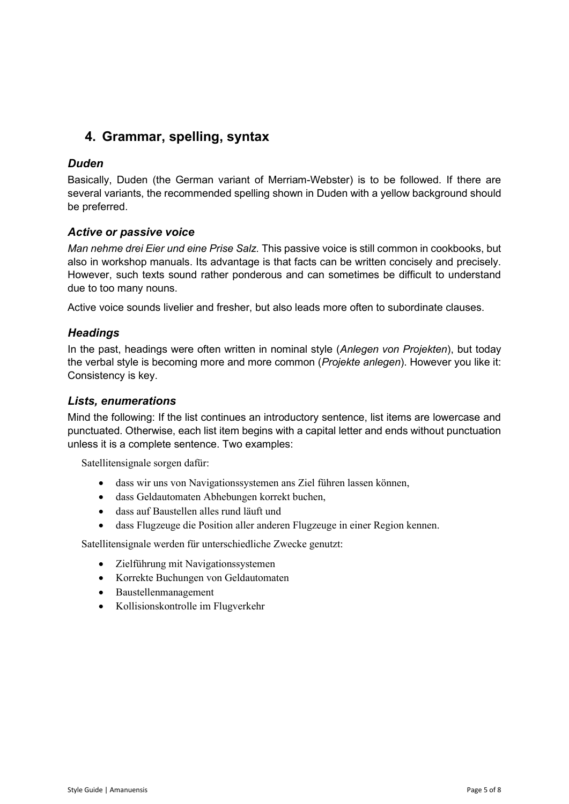# **4. Grammar, spelling, syntax**

### *Duden*

Basically, Duden (the German variant of Merriam-Webster) is to be followed. If there are several variants, the recommended spelling shown in Duden with a yellow background should be preferred.

#### *Active or passive voice*

*Man nehme drei Eier und eine Prise Salz.* This passive voice is still common in cookbooks, but also in workshop manuals. Its advantage is that facts can be written concisely and precisely. However, such texts sound rather ponderous and can sometimes be difficult to understand due to too many nouns.

Active voice sounds livelier and fresher, but also leads more often to subordinate clauses.

#### *Headings*

In the past, headings were often written in nominal style (*Anlegen von Projekten*), but today the verbal style is becoming more and more common (*Projekte anlegen*). However you like it: Consistency is key.

#### *Lists, enumerations*

Mind the following: If the list continues an introductory sentence, list items are lowercase and punctuated. Otherwise, each list item begins with a capital letter and ends without punctuation unless it is a complete sentence. Two examples:

Satellitensignale sorgen dafür:

- dass wir uns von Navigationssystemen ans Ziel führen lassen können,
- dass Geldautomaten Abhebungen korrekt buchen,
- dass auf Baustellen alles rund läuft und
- dass Flugzeuge die Position aller anderen Flugzeuge in einer Region kennen.

Satellitensignale werden für unterschiedliche Zwecke genutzt:

- Zielführung mit Navigationssystemen
- Korrekte Buchungen von Geldautomaten
- Baustellenmanagement
- Kollisionskontrolle im Flugverkehr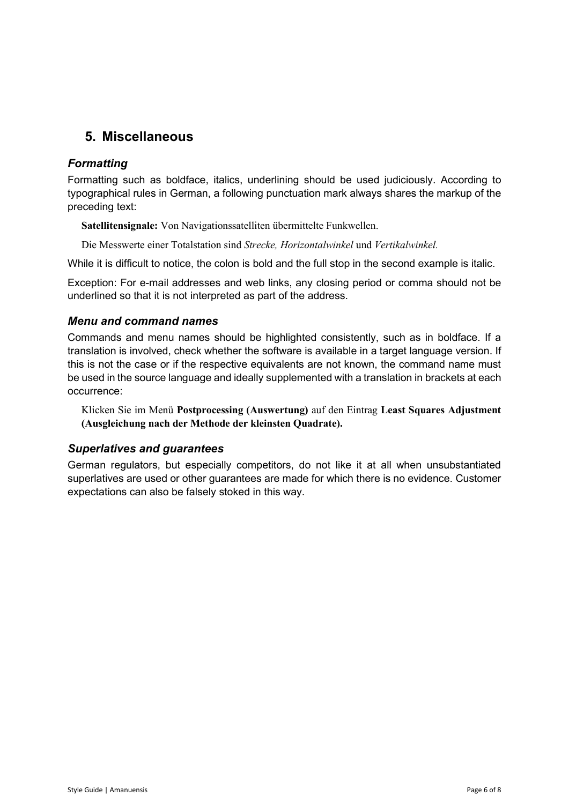# **5. Miscellaneous**

#### *Formatting*

Formatting such as boldface, italics, underlining should be used judiciously. According to typographical rules in German, a following punctuation mark always shares the markup of the preceding text:

**Satellitensignale:** Von Navigationssatelliten übermittelte Funkwellen.

Die Messwerte einer Totalstation sind *Strecke, Horizontalwinkel* und *Vertikalwinkel.*

While it is difficult to notice, the colon is bold and the full stop in the second example is italic.

Exception: For e-mail addresses and web links, any closing period or comma should not be underlined so that it is not interpreted as part of the address.

#### *Menu and command names*

Commands and menu names should be highlighted consistently, such as in boldface. If a translation is involved, check whether the software is available in a target language version. If this is not the case or if the respective equivalents are not known, the command name must be used in the source language and ideally supplemented with a translation in brackets at each occurrence:

Klicken Sie im Menü **Postprocessing (Auswertung)** auf den Eintrag **Least Squares Adjustment (Ausgleichung nach der Methode der kleinsten Quadrate).**

#### *Superlatives and guarantees*

German regulators, but especially competitors, do not like it at all when unsubstantiated superlatives are used or other guarantees are made for which there is no evidence. Customer expectations can also be falsely stoked in this way.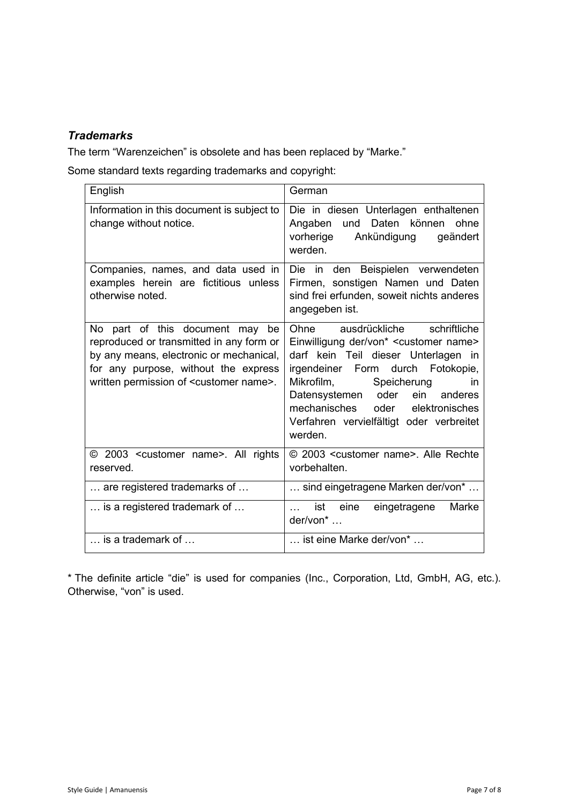## *Trademarks*

The term "Warenzeichen" is obsolete and has been replaced by "Marke."

Some standard texts regarding trademarks and copyright:

| English                                                                                                                                                                                                                | German                                                                                                                                                                                                                                                                                                                                                   |
|------------------------------------------------------------------------------------------------------------------------------------------------------------------------------------------------------------------------|----------------------------------------------------------------------------------------------------------------------------------------------------------------------------------------------------------------------------------------------------------------------------------------------------------------------------------------------------------|
| Information in this document is subject to<br>change without notice.                                                                                                                                                   | Die in diesen Unterlagen enthaltenen<br>Daten können<br>ohne<br>Angaben<br>und<br>vorherige<br>Ankündigung<br>geändert<br>werden.                                                                                                                                                                                                                        |
| Companies, names, and data used in<br>examples herein are fictitious unless<br>otherwise noted.                                                                                                                        | Die in den Beispielen verwendeten<br>Firmen, sonstigen Namen und Daten<br>sind frei erfunden, soweit nichts anderes<br>angegeben ist.                                                                                                                                                                                                                    |
| No part of this document may be<br>reproduced or transmitted in any form or<br>by any means, electronic or mechanical,<br>for any purpose, without the express<br>written permission of <customer name="">.</customer> | Ohne ausdrückliche schriftliche<br>Einwilligung der/von* <customer name=""><br/>darf kein Teil dieser Unterlagen in<br/>irgendeiner Form durch Fotokopie,<br/>Mikrofilm,<br/>Speicherung<br/>in.<br/>Datensystemen oder<br/>ein<br/>anderes<br/>mechanisches oder<br/>elektronisches<br/>Verfahren vervielfältigt oder verbreitet<br/>werden.</customer> |
| © 2003 <customer name="">. All rights<br/>reserved.</customer>                                                                                                                                                         | © 2003 <customer name="">. Alle Rechte<br/>vorbehalten.</customer>                                                                                                                                                                                                                                                                                       |
| are registered trademarks of                                                                                                                                                                                           | sind eingetragene Marken der/von*                                                                                                                                                                                                                                                                                                                        |
| is a registered trademark of                                                                                                                                                                                           | eine<br>ist<br>Marke<br>eingetragene<br>der/von*                                                                                                                                                                                                                                                                                                         |
| is a trademark of                                                                                                                                                                                                      | ist eine Marke der/von*                                                                                                                                                                                                                                                                                                                                  |

\* The definite article "die" is used for companies (Inc., Corporation, Ltd, GmbH, AG, etc.). Otherwise, "von" is used.